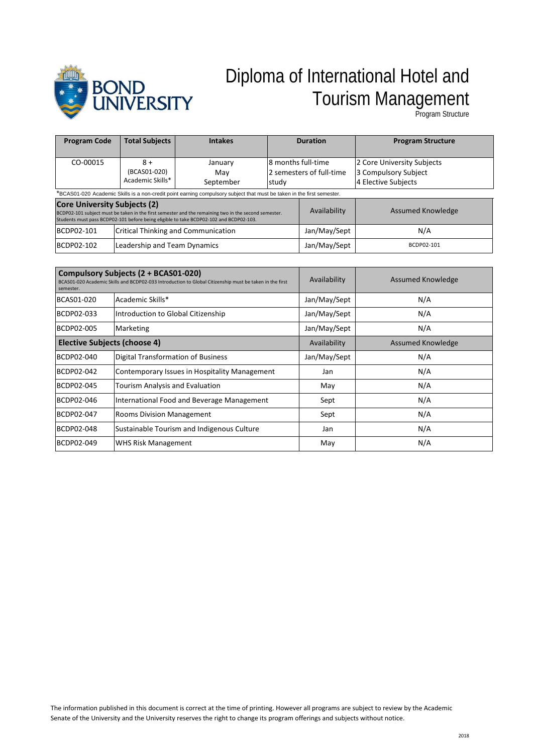

# Diploma of International Hotel and Tourism Management

Program Structure

| <b>Program Code</b>                                                                                                                                                                                                                   | <b>Total Subjects</b>                      | <b>Intakes</b>              |                                                          | <b>Duration</b>   | <b>Program Structure</b>                                                  |
|---------------------------------------------------------------------------------------------------------------------------------------------------------------------------------------------------------------------------------------|--------------------------------------------|-----------------------------|----------------------------------------------------------|-------------------|---------------------------------------------------------------------------|
| CO-00015                                                                                                                                                                                                                              | $8+$<br>(BCAS01-020)<br>Academic Skills*   | January<br>Mav<br>September | l8 months full-time<br>2 semesters of full-time<br>study |                   | 2 Core University Subjects<br>3 Compulsory Subject<br>4 Elective Subjects |
| *BCAS01-020 Academic Skills is a non-credit point earning compulsory subject that must be taken in the first semester.                                                                                                                |                                            |                             |                                                          |                   |                                                                           |
| <b>Core University Subjects (2)</b><br>BCDP02-101 subject must be taken in the first semester and the remaining two in the second semester.<br>Students must pass BCDP02-101 before being eligible to take BCDP02-102 and BCDP02-103. |                                            |                             | Availability                                             | Assumed Knowledge |                                                                           |
| BCDP02-101                                                                                                                                                                                                                            | <b>Critical Thinking and Communication</b> |                             | Jan/May/Sept                                             | N/A               |                                                                           |
| BCDP02-102                                                                                                                                                                                                                            | Leadership and Team Dynamics               |                             | Jan/May/Sept                                             | BCDP02-101        |                                                                           |

| Compulsory Subjects (2 + BCAS01-020)<br>BCAS01-020 Academic Skills and BCDP02-033 Introduction to Global Citizenship must be taken in the first<br>semester. |                                               | Availability | <b>Assumed Knowledge</b> |
|--------------------------------------------------------------------------------------------------------------------------------------------------------------|-----------------------------------------------|--------------|--------------------------|
| BCAS01-020                                                                                                                                                   | Academic Skills*                              | Jan/May/Sept | N/A                      |
| BCDP02-033                                                                                                                                                   | Introduction to Global Citizenship            | Jan/May/Sept | N/A                      |
| BCDP02-005                                                                                                                                                   | Marketing                                     | Jan/May/Sept | N/A                      |
| <b>Elective Subjects (choose 4)</b>                                                                                                                          |                                               | Availability | Assumed Knowledge        |
| BCDP02-040                                                                                                                                                   | Digital Transformation of Business            | Jan/May/Sept | N/A                      |
| BCDP02-042                                                                                                                                                   | Contemporary Issues in Hospitality Management | Jan          | N/A                      |
| BCDP02-045                                                                                                                                                   | <b>Tourism Analysis and Evaluation</b>        | May          | N/A                      |
| BCDP02-046                                                                                                                                                   | International Food and Beverage Management    | Sept         | N/A                      |
| BCDP02-047                                                                                                                                                   | <b>Rooms Division Management</b>              | Sept         | N/A                      |
| <b>BCDP02-048</b>                                                                                                                                            | Sustainable Tourism and Indigenous Culture    | Jan          | N/A                      |
| BCDP02-049                                                                                                                                                   | <b>WHS Risk Management</b>                    | May          | N/A                      |